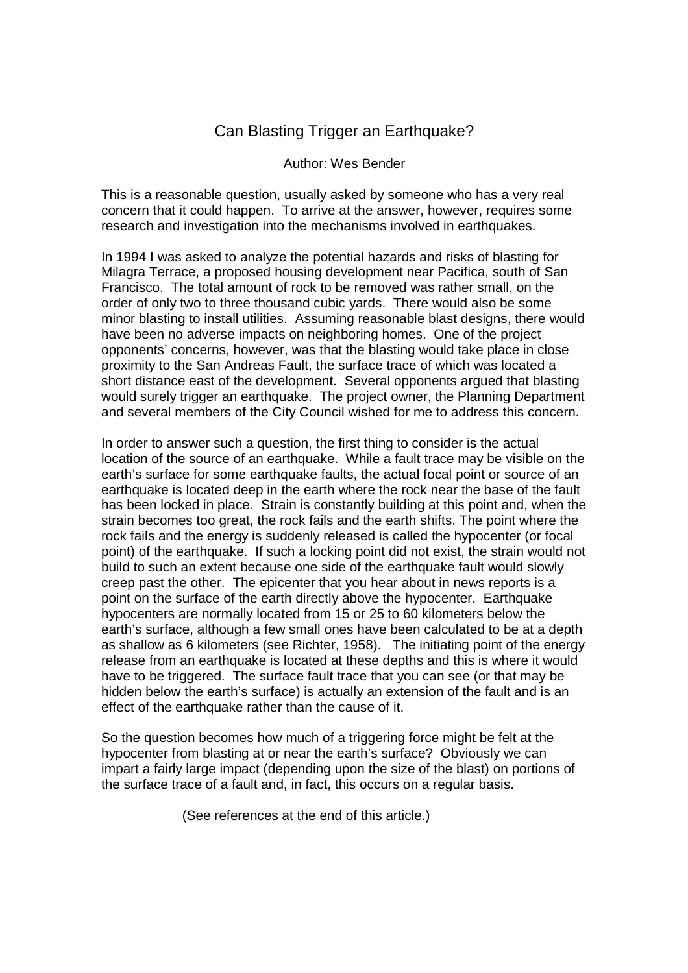## Can Blasting Trigger an Earthquake?

## Author: Wes Bender

This is a reasonable question, usually asked by someone who has a very real concern that it could happen. To arrive at the answer, however, requires some research and investigation into the mechanisms involved in earthquakes.

In 1994 I was asked to analyze the potential hazards and risks of blasting for Milagra Terrace, a proposed housing development near Pacifica, south of San Francisco. The total amount of rock to be removed was rather small, on the order of only two to three thousand cubic yards. There would also be some minor blasting to install utilities. Assuming reasonable blast designs, there would have been no adverse impacts on neighboring homes. One of the project opponents' concerns, however, was that the blasting would take place in close proximity to the San Andreas Fault, the surface trace of which was located a short distance east of the development. Several opponents argued that blasting would surely trigger an earthquake. The project owner, the Planning Department and several members of the City Council wished for me to address this concern.

In order to answer such a question, the first thing to consider is the actual location of the source of an earthquake. While a fault trace may be visible on the earth's surface for some earthquake faults, the actual focal point or source of an earthquake is located deep in the earth where the rock near the base of the fault has been locked in place. Strain is constantly building at this point and, when the strain becomes too great, the rock fails and the earth shifts. The point where the rock fails and the energy is suddenly released is called the hypocenter (or focal point) of the earthquake. If such a locking point did not exist, the strain would not build to such an extent because one side of the earthquake fault would slowly creep past the other. The epicenter that you hear about in news reports is a point on the surface of the earth directly above the hypocenter. Earthquake hypocenters are normally located from 15 or 25 to 60 kilometers below the earth's surface, although a few small ones have been calculated to be at a depth as shallow as 6 kilometers (see Richter, 1958). The initiating point of the energy release from an earthquake is located at these depths and this is where it would have to be triggered. The surface fault trace that you can see (or that may be hidden below the earth's surface) is actually an extension of the fault and is an effect of the earthquake rather than the cause of it.

So the question becomes how much of a triggering force might be felt at the hypocenter from blasting at or near the earth's surface? Obviously we can impart a fairly large impact (depending upon the size of the blast) on portions of the surface trace of a fault and, in fact, this occurs on a regular basis.

(See references at the end of this article.)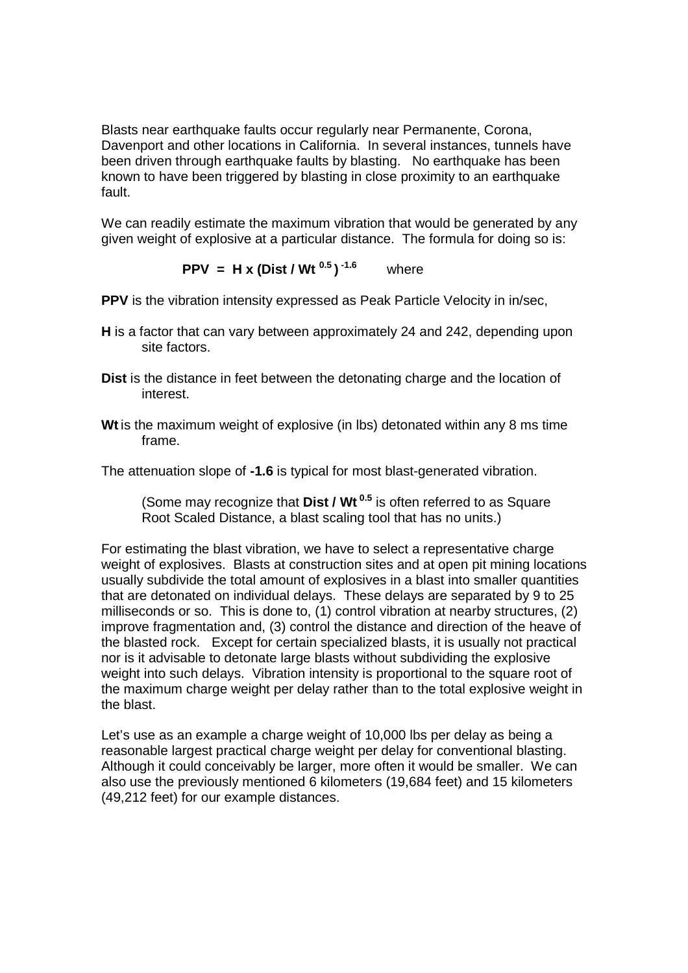Blasts near earthquake faults occur regularly near Permanente, Corona, Davenport and other locations in California. In several instances, tunnels have been driven through earthquake faults by blasting. No earthquake has been known to have been triggered by blasting in close proximity to an earthquake fault.

We can readily estimate the maximum vibration that would be generated by any given weight of explosive at a particular distance. The formula for doing so is:

 **PPV = H x (Dist / Wt 0.5 ) -1.6** where

**PPV** is the vibration intensity expressed as Peak Particle Velocity in in/sec.

- **H** is a factor that can vary between approximately 24 and 242, depending upon site factors.
- **Dist** is the distance in feet between the detonating charge and the location of interest.
- **Wt** is the maximum weight of explosive (in lbs) detonated within any 8 ms time frame.

The attenuation slope of **-1.6** is typical for most blast-generated vibration.

 (Some may recognize that **Dist / Wt 0.5** is often referred to as Square Root Scaled Distance, a blast scaling tool that has no units.)

For estimating the blast vibration, we have to select a representative charge weight of explosives. Blasts at construction sites and at open pit mining locations usually subdivide the total amount of explosives in a blast into smaller quantities that are detonated on individual delays. These delays are separated by 9 to 25 milliseconds or so. This is done to, (1) control vibration at nearby structures, (2) improve fragmentation and, (3) control the distance and direction of the heave of the blasted rock. Except for certain specialized blasts, it is usually not practical nor is it advisable to detonate large blasts without subdividing the explosive weight into such delays. Vibration intensity is proportional to the square root of the maximum charge weight per delay rather than to the total explosive weight in the blast.

Let's use as an example a charge weight of 10,000 lbs per delay as being a reasonable largest practical charge weight per delay for conventional blasting. Although it could conceivably be larger, more often it would be smaller. We can also use the previously mentioned 6 kilometers (19,684 feet) and 15 kilometers (49,212 feet) for our example distances.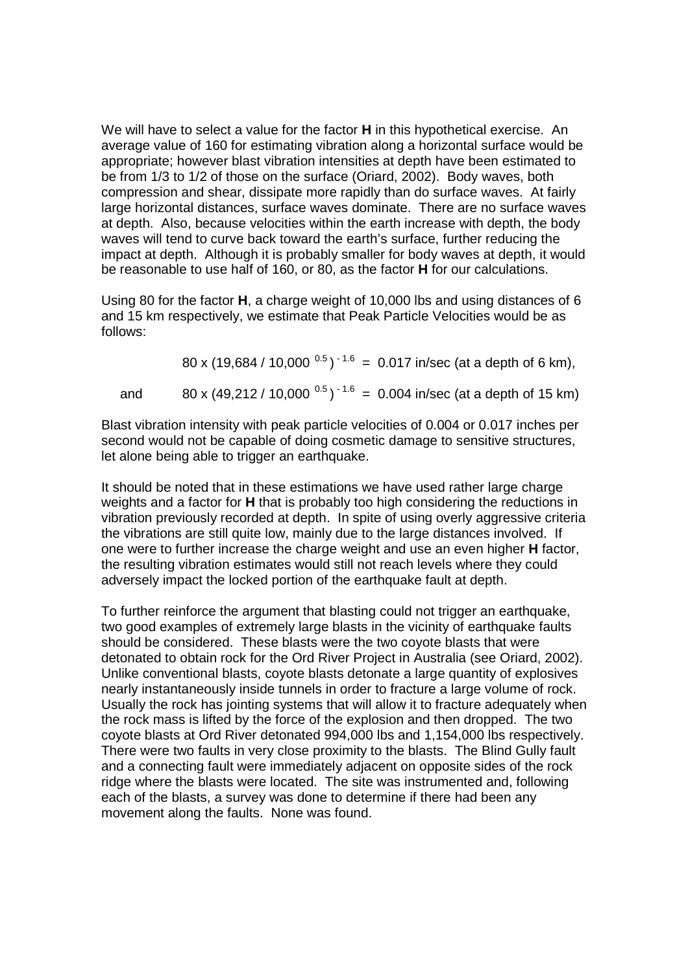We will have to select a value for the factor **H** in this hypothetical exercise. An average value of 160 for estimating vibration along a horizontal surface would be appropriate; however blast vibration intensities at depth have been estimated to be from 1/3 to 1/2 of those on the surface (Oriard, 2002). Body waves, both compression and shear, dissipate more rapidly than do surface waves. At fairly large horizontal distances, surface waves dominate. There are no surface waves at depth. Also, because velocities within the earth increase with depth, the body waves will tend to curve back toward the earth's surface, further reducing the impact at depth. Although it is probably smaller for body waves at depth, it would be reasonable to use half of 160, or 80, as the factor **H** for our calculations.

Using 80 for the factor **H**, a charge weight of 10,000 lbs and using distances of 6 and 15 km respectively, we estimate that Peak Particle Velocities would be as follows:

80 x (19,684 / 10,000  $^{0.5}$ )<sup>-1.6</sup> = 0.017 in/sec (at a depth of 6 km), and 80 x (49,212 / 10,000  $^{0.5}$ )<sup>-1.6</sup> = 0.004 in/sec (at a depth of 15 km)

Blast vibration intensity with peak particle velocities of 0.004 or 0.017 inches per second would not be capable of doing cosmetic damage to sensitive structures, let alone being able to trigger an earthquake.

It should be noted that in these estimations we have used rather large charge weights and a factor for **H** that is probably too high considering the reductions in vibration previously recorded at depth. In spite of using overly aggressive criteria the vibrations are still quite low, mainly due to the large distances involved. If one were to further increase the charge weight and use an even higher **H** factor, the resulting vibration estimates would still not reach levels where they could adversely impact the locked portion of the earthquake fault at depth.

To further reinforce the argument that blasting could not trigger an earthquake, two good examples of extremely large blasts in the vicinity of earthquake faults should be considered. These blasts were the two coyote blasts that were detonated to obtain rock for the Ord River Project in Australia (see Oriard, 2002). Unlike conventional blasts, coyote blasts detonate a large quantity of explosives nearly instantaneously inside tunnels in order to fracture a large volume of rock. Usually the rock has jointing systems that will allow it to fracture adequately when the rock mass is lifted by the force of the explosion and then dropped. The two coyote blasts at Ord River detonated 994,000 lbs and 1,154,000 lbs respectively. There were two faults in very close proximity to the blasts. The Blind Gully fault and a connecting fault were immediately adjacent on opposite sides of the rock ridge where the blasts were located. The site was instrumented and, following each of the blasts, a survey was done to determine if there had been any movement along the faults. None was found.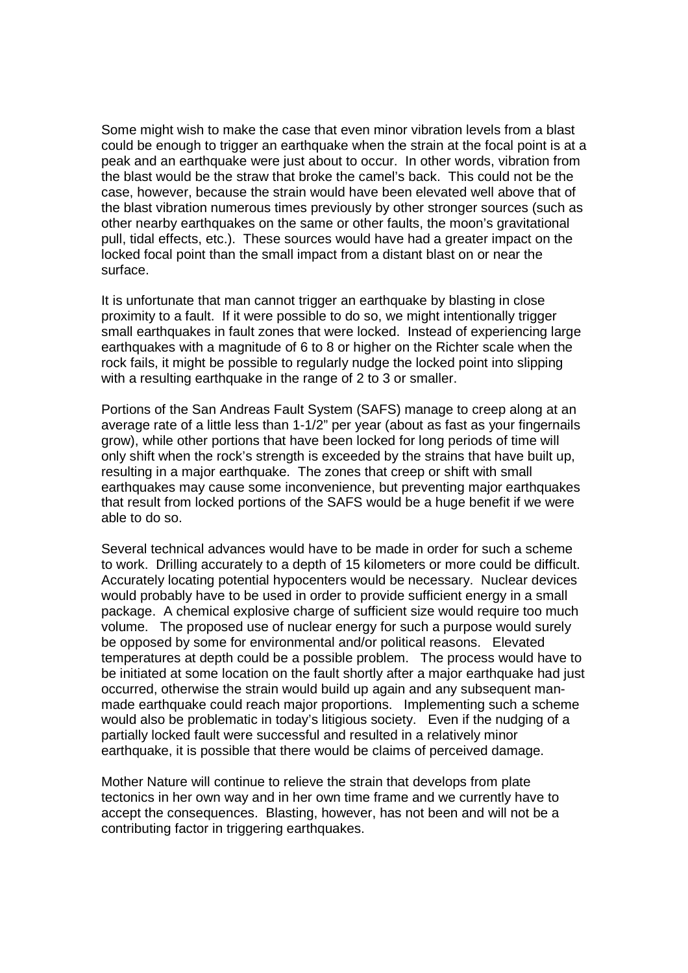Some might wish to make the case that even minor vibration levels from a blast could be enough to trigger an earthquake when the strain at the focal point is at a peak and an earthquake were just about to occur. In other words, vibration from the blast would be the straw that broke the camel's back. This could not be the case, however, because the strain would have been elevated well above that of the blast vibration numerous times previously by other stronger sources (such as other nearby earthquakes on the same or other faults, the moon's gravitational pull, tidal effects, etc.). These sources would have had a greater impact on the locked focal point than the small impact from a distant blast on or near the surface.

It is unfortunate that man cannot trigger an earthquake by blasting in close proximity to a fault. If it were possible to do so, we might intentionally trigger small earthquakes in fault zones that were locked. Instead of experiencing large earthquakes with a magnitude of 6 to 8 or higher on the Richter scale when the rock fails, it might be possible to regularly nudge the locked point into slipping with a resulting earthquake in the range of 2 to 3 or smaller.

Portions of the San Andreas Fault System (SAFS) manage to creep along at an average rate of a little less than 1-1/2" per year (about as fast as your fingernails grow), while other portions that have been locked for long periods of time will only shift when the rock's strength is exceeded by the strains that have built up, resulting in a major earthquake. The zones that creep or shift with small earthquakes may cause some inconvenience, but preventing major earthquakes that result from locked portions of the SAFS would be a huge benefit if we were able to do so.

Several technical advances would have to be made in order for such a scheme to work. Drilling accurately to a depth of 15 kilometers or more could be difficult. Accurately locating potential hypocenters would be necessary. Nuclear devices would probably have to be used in order to provide sufficient energy in a small package. A chemical explosive charge of sufficient size would require too much volume. The proposed use of nuclear energy for such a purpose would surely be opposed by some for environmental and/or political reasons. Elevated temperatures at depth could be a possible problem. The process would have to be initiated at some location on the fault shortly after a major earthquake had just occurred, otherwise the strain would build up again and any subsequent manmade earthquake could reach major proportions. Implementing such a scheme would also be problematic in today's litigious society. Even if the nudging of a partially locked fault were successful and resulted in a relatively minor earthquake, it is possible that there would be claims of perceived damage.

Mother Nature will continue to relieve the strain that develops from plate tectonics in her own way and in her own time frame and we currently have to accept the consequences. Blasting, however, has not been and will not be a contributing factor in triggering earthquakes.